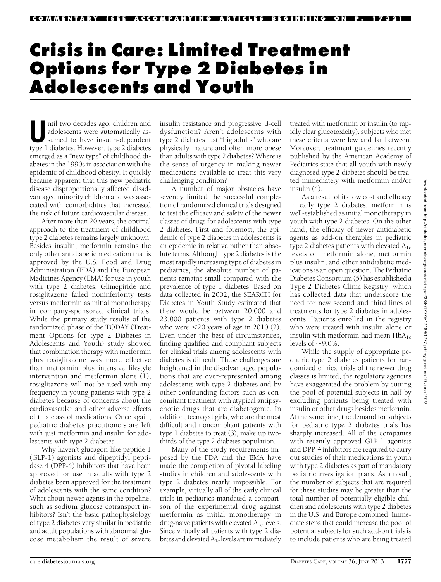# Crisis in Care: Limited Treatment Options for Type 2 Diabetes in Adolescents and Youth

Intil two decades ago, children and<br>adolescents were automatically assumed to have insulin-dependent<br>turn additional dishates adolescents were automatically astype 1 diabetes. However, type 2 diabetes emerged as a "new type" of childhood diabetes in the 1990s in association with the epidemic of childhood obesity. It quickly became apparent that this new pediatric disease disproportionally affected disadvantaged minority children and was associated with comorbidities that increased the risk of future cardiovascular disease.

After more than 20 years, the optimal approach to the treatment of childhood type 2 diabetes remains largely unknown. Besides insulin, metformin remains the only other antidiabetic medication that is approved by the U.S. Food and Drug Administration (FDA) and the European Medicines Agency (EMA) for use in youth with type 2 diabetes. Glimepiride and rosiglitazone failed noninferiority tests versus metformin as initial monotherapy in company-sponsored clinical trials. While the primary study results of the randomized phase of the TODAY (Treatment Options for type 2 Diabetes in Adolescents and Youth) study showed that combination therapy with metformin plus rosiglitazone was more effective than metformin plus intensive lifestyle intervention and metformin alone (1), rosiglitazone will not be used with any frequency in young patients with type 2 diabetes because of concerns about the cardiovascular and other adverse effects of this class of medications. Once again, pediatric diabetes practitioners are left with just metformin and insulin for adolescents with type 2 diabetes.

Why haven't glucagon-like peptide 1 (GLP-1) agonists and dipeptidyl peptidase 4 (DPP-4) inhibitors that have been approved for use in adults with type 2 diabetes been approved for the treatment of adolescents with the same condition? What about newer agents in the pipeline, such as sodium glucose cotransport inhibitors? Isn't the basic pathophysiology of type 2 diabetes very similar in pediatric and adult populations with abnormal glucose metabolism the result of severe

insulin resistance and progressive  $\beta$ -cell dysfunction? Aren't adolescents with type 2 diabetes just "big adults" who are physically mature and often more obese than adults with type 2 diabetes? Where is the sense of urgency in making newer medications available to treat this very challenging condition?

A number of major obstacles have severely limited the successful completion of randomized clinical trials designed to test the efficacy and safety of the newer classes of drugs for adolescents with type 2 diabetes. First and foremost, the epidemic of type 2 diabetes in adolescents is an epidemic in relative rather than absolute terms. Although type 2 diabetes is the most rapidly increasing type of diabetes in pediatrics, the absolute number of patients remains small compared with the prevalence of type 1 diabetes. Based on data collected in 2002, the SEARCH for Diabetes in Youth Study estimated that there would be between 20,000 and 23,000 patients with type 2 diabetes who were  $\leq$ 20 years of age in 2010 (2). Even under the best of circumstances, finding qualified and compliant subjects for clinical trials among adolescents with diabetes is difficult. These challenges are heightened in the disadvantaged populations that are over-represented among adolescents with type 2 diabetes and by other confounding factors such as concomitant treatment with atypical antipsychotic drugs that are diabetogenic. In addition, teenaged girls, who are the most difficult and noncompliant patients with type 1 diabetes to treat (3), make up twothirds of the type 2 diabetes population.

Many of the study requirements imposed by the FDA and the EMA have made the completion of pivotal labeling studies in children and adolescents with type 2 diabetes nearly impossible. For example, virtually all of the early clinical trials in pediatrics mandated a comparison of the experimental drug against metformin as initial monotherapy in drug-naïve patients with elevated  $A_{1c}$  levels. Since virtually all patients with type 2 diabetes and elevated A1c levels are immediately

treated with metformin or insulin (to rapidly clear glucotoxicity), subjects who met these criteria were few and far between. Moreover, treatment guidelines recently published by the American Academy of Pediatrics state that all youth with newly diagnosed type 2 diabetes should be treated immediately with metformin and/or insulin (4).

As a result of its low cost and efficacy in early type 2 diabetes, metformin is well-established as initial monotherapy in youth with type 2 diabetes. On the other hand, the efficacy of newer antidiabetic agents as add-on therapies in pediatric type 2 diabetes patients with elevated  $A_{1c}$ levels on metformin alone, metformin plus insulin, and other antidiabetic medications is an open question. The Pediatric Diabetes Consortium (5) has established a Type 2 Diabetes Clinic Registry, which has collected data that underscore the need for new second and third lines of treatments for type 2 diabetes in adolescents. Patients enrolled in the registry who were treated with insulin alone or insulin with metformin had mean  $HbA_{1c}$ levels of  $\sim$ 9.0%.

While the supply of appropriate pediatric type 2 diabetes patients for randomized clinical trials of the newer drug classes is limited, the regulatory agencies have exaggerated the problem by cutting the pool of potential subjects in half by excluding patients being treated with insulin or other drugs besides metformin. At the same time, the demand for subjects for pediatric type 2 diabetes trials has sharply increased. All of the companies with recently approved GLP-1 agonists and DPP-4 inhibitors are required to carry out studies of their medications in youth with type 2 diabetes as part of mandatory pediatric investigation plans. As a result, the number of subjects that are required for these studies may be greater than the total number of potentially eligible children and adolescents with type 2 diabetes in the U.S. and Europe combined. Immediate steps that could increase the pool of potential subjects for such add-on trials is to include patients who are being treated